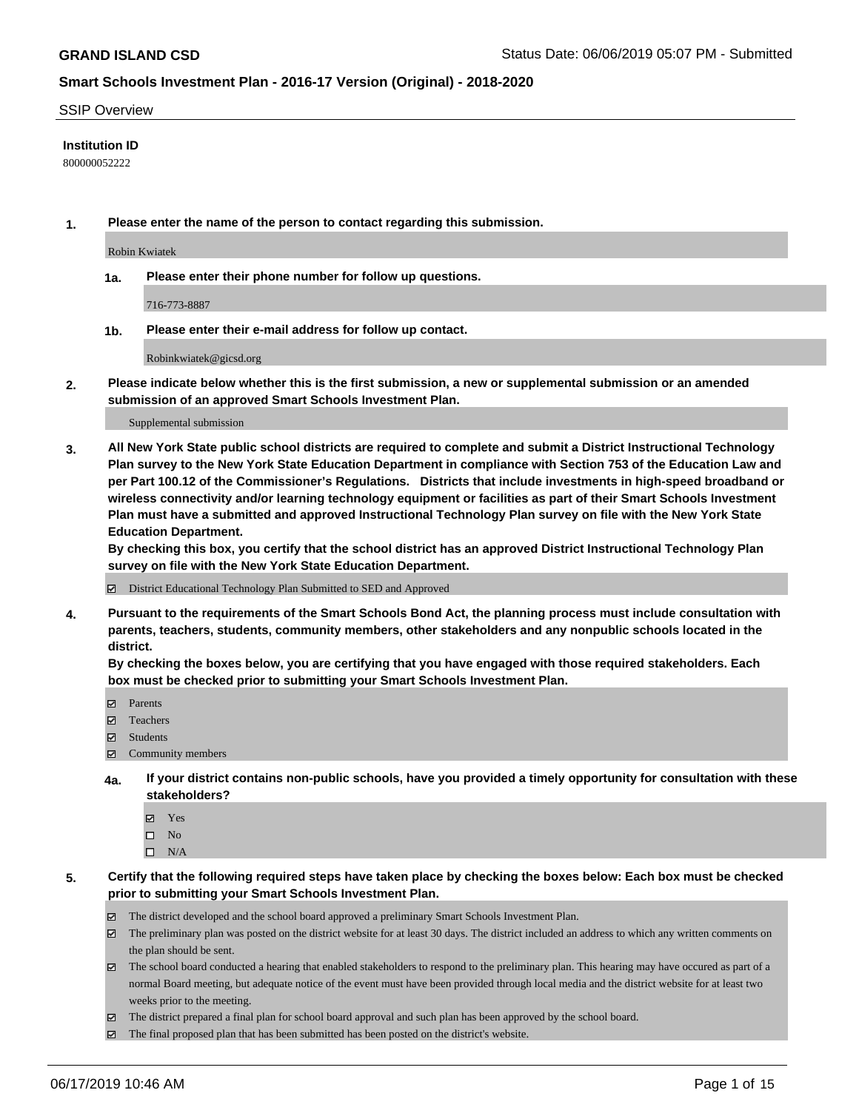#### SSIP Overview

### **Institution ID**

800000052222

**1. Please enter the name of the person to contact regarding this submission.**

Robin Kwiatek

**1a. Please enter their phone number for follow up questions.**

716-773-8887

**1b. Please enter their e-mail address for follow up contact.**

Robinkwiatek@gicsd.org

**2. Please indicate below whether this is the first submission, a new or supplemental submission or an amended submission of an approved Smart Schools Investment Plan.**

#### Supplemental submission

**3. All New York State public school districts are required to complete and submit a District Instructional Technology Plan survey to the New York State Education Department in compliance with Section 753 of the Education Law and per Part 100.12 of the Commissioner's Regulations. Districts that include investments in high-speed broadband or wireless connectivity and/or learning technology equipment or facilities as part of their Smart Schools Investment Plan must have a submitted and approved Instructional Technology Plan survey on file with the New York State Education Department.** 

**By checking this box, you certify that the school district has an approved District Instructional Technology Plan survey on file with the New York State Education Department.**

District Educational Technology Plan Submitted to SED and Approved

**4. Pursuant to the requirements of the Smart Schools Bond Act, the planning process must include consultation with parents, teachers, students, community members, other stakeholders and any nonpublic schools located in the district.** 

**By checking the boxes below, you are certifying that you have engaged with those required stakeholders. Each box must be checked prior to submitting your Smart Schools Investment Plan.**

- Parents
- Teachers
- Students
- Community members
- **4a. If your district contains non-public schools, have you provided a timely opportunity for consultation with these stakeholders?**
	- Yes
	- $\square$  No
	- $\square$  N/A
- **5. Certify that the following required steps have taken place by checking the boxes below: Each box must be checked prior to submitting your Smart Schools Investment Plan.**
	- The district developed and the school board approved a preliminary Smart Schools Investment Plan.
	- $\boxtimes$  The preliminary plan was posted on the district website for at least 30 days. The district included an address to which any written comments on the plan should be sent.
	- $\boxtimes$  The school board conducted a hearing that enabled stakeholders to respond to the preliminary plan. This hearing may have occured as part of a normal Board meeting, but adequate notice of the event must have been provided through local media and the district website for at least two weeks prior to the meeting.
	- The district prepared a final plan for school board approval and such plan has been approved by the school board.
	- $\boxtimes$  The final proposed plan that has been submitted has been posted on the district's website.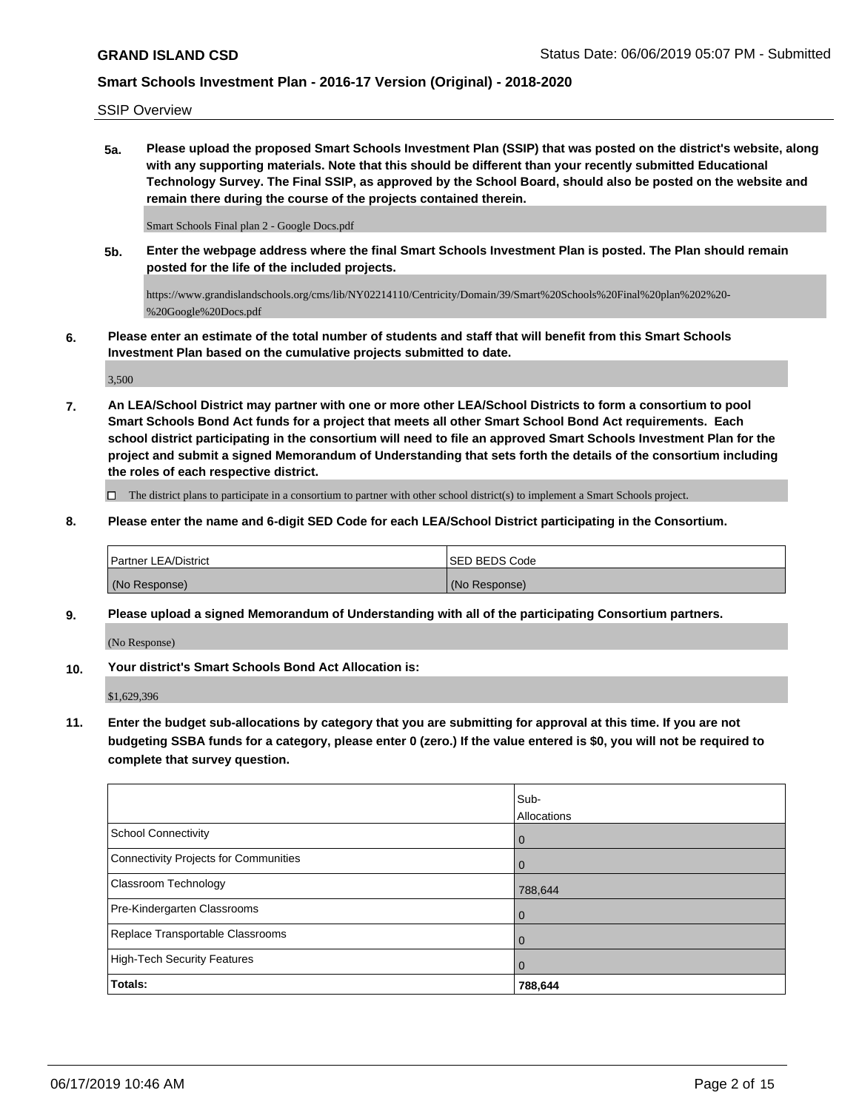SSIP Overview

**5a. Please upload the proposed Smart Schools Investment Plan (SSIP) that was posted on the district's website, along with any supporting materials. Note that this should be different than your recently submitted Educational Technology Survey. The Final SSIP, as approved by the School Board, should also be posted on the website and remain there during the course of the projects contained therein.**

Smart Schools Final plan 2 - Google Docs.pdf

**5b. Enter the webpage address where the final Smart Schools Investment Plan is posted. The Plan should remain posted for the life of the included projects.**

https://www.grandislandschools.org/cms/lib/NY02214110/Centricity/Domain/39/Smart%20Schools%20Final%20plan%202%20- %20Google%20Docs.pdf

**6. Please enter an estimate of the total number of students and staff that will benefit from this Smart Schools Investment Plan based on the cumulative projects submitted to date.**

3,500

**7. An LEA/School District may partner with one or more other LEA/School Districts to form a consortium to pool Smart Schools Bond Act funds for a project that meets all other Smart School Bond Act requirements. Each school district participating in the consortium will need to file an approved Smart Schools Investment Plan for the project and submit a signed Memorandum of Understanding that sets forth the details of the consortium including the roles of each respective district.**

 $\Box$  The district plans to participate in a consortium to partner with other school district(s) to implement a Smart Schools project.

**8. Please enter the name and 6-digit SED Code for each LEA/School District participating in the Consortium.**

| <b>Partner LEA/District</b> | ISED BEDS Code |
|-----------------------------|----------------|
| (No Response)               | (No Response)  |

**9. Please upload a signed Memorandum of Understanding with all of the participating Consortium partners.**

(No Response)

**10. Your district's Smart Schools Bond Act Allocation is:**

\$1,629,396

**11. Enter the budget sub-allocations by category that you are submitting for approval at this time. If you are not budgeting SSBA funds for a category, please enter 0 (zero.) If the value entered is \$0, you will not be required to complete that survey question.**

|                                              | Sub-<br>Allocations |
|----------------------------------------------|---------------------|
| <b>School Connectivity</b>                   | $\overline{0}$      |
| <b>Connectivity Projects for Communities</b> | $\overline{0}$      |
| <b>Classroom Technology</b>                  | 788,644             |
| Pre-Kindergarten Classrooms                  | $\overline{0}$      |
| Replace Transportable Classrooms             | $\mathbf 0$         |
| <b>High-Tech Security Features</b>           | $\mathbf 0$         |
| Totals:                                      | 788,644             |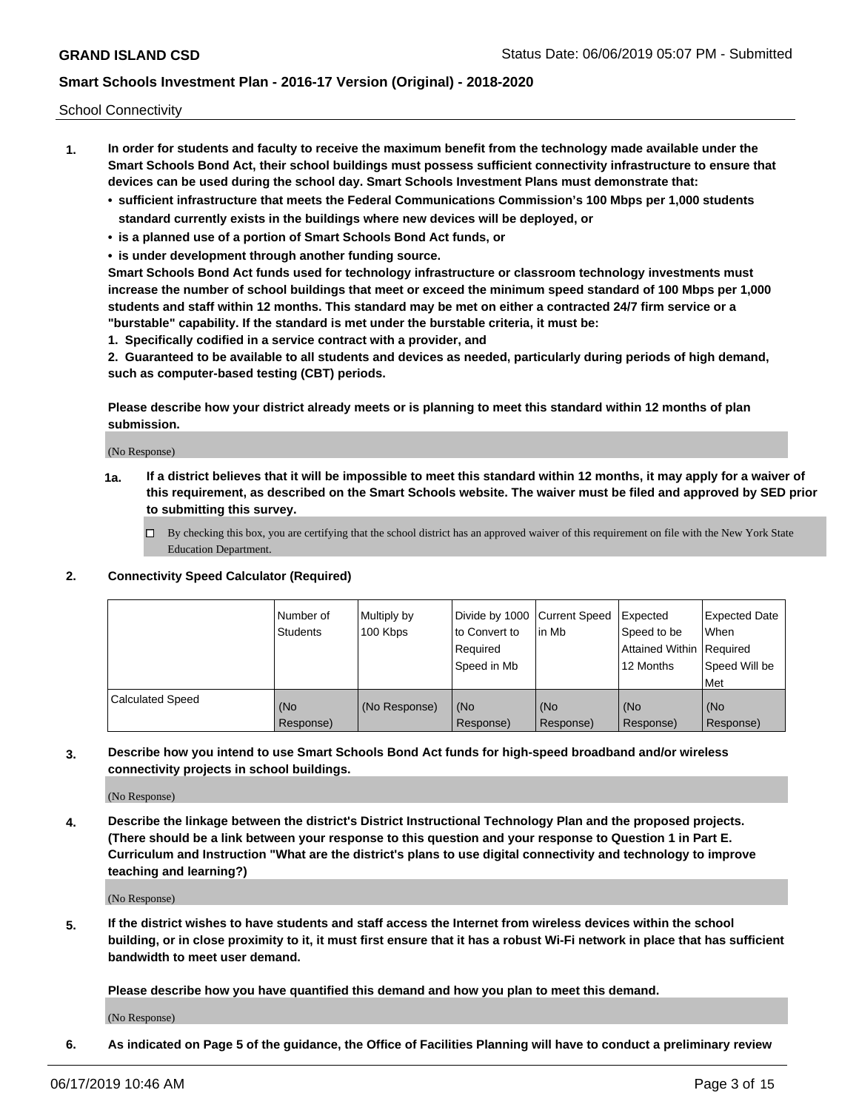School Connectivity

- **1. In order for students and faculty to receive the maximum benefit from the technology made available under the Smart Schools Bond Act, their school buildings must possess sufficient connectivity infrastructure to ensure that devices can be used during the school day. Smart Schools Investment Plans must demonstrate that:**
	- **• sufficient infrastructure that meets the Federal Communications Commission's 100 Mbps per 1,000 students standard currently exists in the buildings where new devices will be deployed, or**
	- **• is a planned use of a portion of Smart Schools Bond Act funds, or**
	- **• is under development through another funding source.**

**Smart Schools Bond Act funds used for technology infrastructure or classroom technology investments must increase the number of school buildings that meet or exceed the minimum speed standard of 100 Mbps per 1,000 students and staff within 12 months. This standard may be met on either a contracted 24/7 firm service or a "burstable" capability. If the standard is met under the burstable criteria, it must be:**

**1. Specifically codified in a service contract with a provider, and**

**2. Guaranteed to be available to all students and devices as needed, particularly during periods of high demand, such as computer-based testing (CBT) periods.**

**Please describe how your district already meets or is planning to meet this standard within 12 months of plan submission.**

(No Response)

**1a. If a district believes that it will be impossible to meet this standard within 12 months, it may apply for a waiver of this requirement, as described on the Smart Schools website. The waiver must be filed and approved by SED prior to submitting this survey.**

 $\Box$  By checking this box, you are certifying that the school district has an approved waiver of this requirement on file with the New York State Education Department.

**2. Connectivity Speed Calculator (Required)**

|                         | l Number of<br><b>Students</b> | Multiply by<br>100 Kbps | Divide by 1000 Current Speed<br>to Convert to<br>Required<br>Speed in Mb | lin Mb           | Expected<br>Speed to be<br>Attained Within   Required<br>12 Months | <b>Expected Date</b><br><b>When</b><br>Speed Will be<br><b>Met</b> |
|-------------------------|--------------------------------|-------------------------|--------------------------------------------------------------------------|------------------|--------------------------------------------------------------------|--------------------------------------------------------------------|
| <b>Calculated Speed</b> | (No<br>Response)               | (No Response)           | (No<br>Response)                                                         | (No<br>Response) | (No<br>Response)                                                   | (No<br>Response)                                                   |

**3. Describe how you intend to use Smart Schools Bond Act funds for high-speed broadband and/or wireless connectivity projects in school buildings.**

(No Response)

**4. Describe the linkage between the district's District Instructional Technology Plan and the proposed projects. (There should be a link between your response to this question and your response to Question 1 in Part E. Curriculum and Instruction "What are the district's plans to use digital connectivity and technology to improve teaching and learning?)**

(No Response)

**5. If the district wishes to have students and staff access the Internet from wireless devices within the school building, or in close proximity to it, it must first ensure that it has a robust Wi-Fi network in place that has sufficient bandwidth to meet user demand.**

**Please describe how you have quantified this demand and how you plan to meet this demand.**

(No Response)

**6. As indicated on Page 5 of the guidance, the Office of Facilities Planning will have to conduct a preliminary review**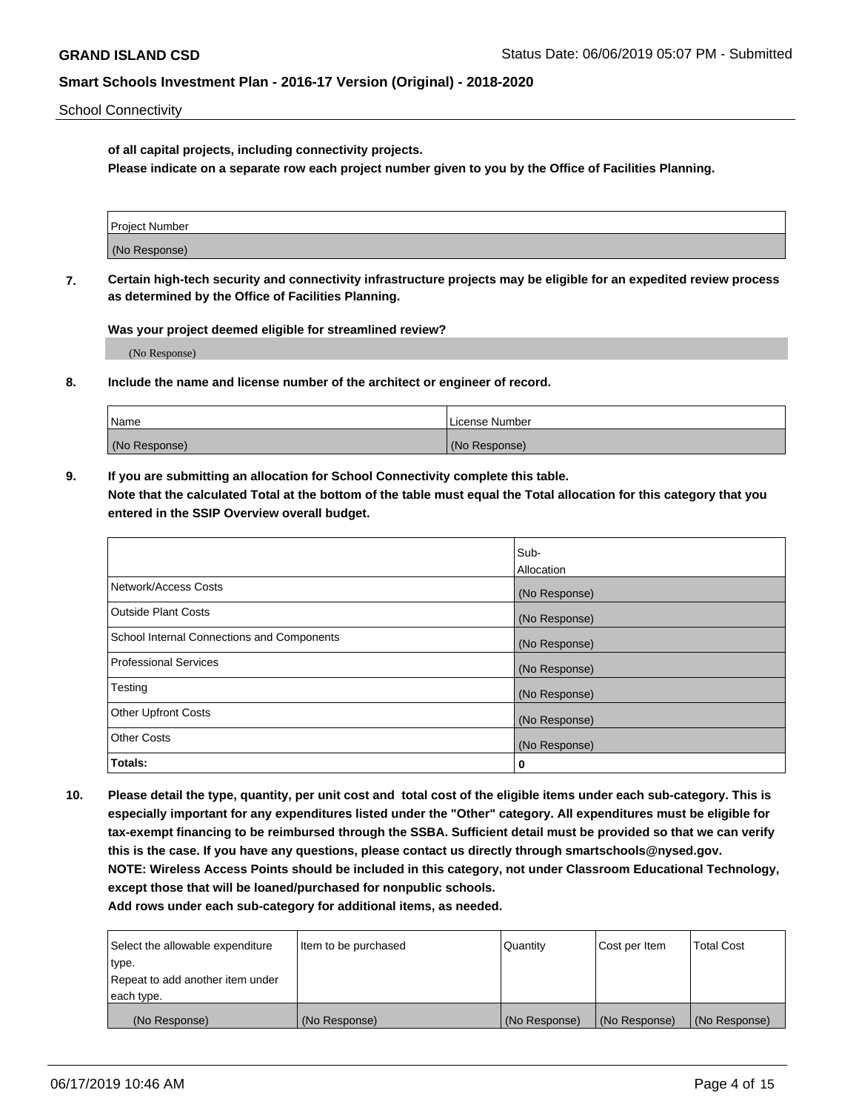School Connectivity

**of all capital projects, including connectivity projects.**

**Please indicate on a separate row each project number given to you by the Office of Facilities Planning.**

| Project Number |  |
|----------------|--|
|                |  |
|                |  |
|                |  |
| (No Response)  |  |
|                |  |
|                |  |
|                |  |

**7. Certain high-tech security and connectivity infrastructure projects may be eligible for an expedited review process as determined by the Office of Facilities Planning.**

**Was your project deemed eligible for streamlined review?**

(No Response)

**8. Include the name and license number of the architect or engineer of record.**

| Name          | License Number |
|---------------|----------------|
| (No Response) | (No Response)  |

**9. If you are submitting an allocation for School Connectivity complete this table. Note that the calculated Total at the bottom of the table must equal the Total allocation for this category that you entered in the SSIP Overview overall budget.** 

|                                            | Sub-              |
|--------------------------------------------|-------------------|
|                                            | <b>Allocation</b> |
| Network/Access Costs                       | (No Response)     |
| <b>Outside Plant Costs</b>                 | (No Response)     |
| School Internal Connections and Components | (No Response)     |
| <b>Professional Services</b>               | (No Response)     |
| Testing                                    | (No Response)     |
| <b>Other Upfront Costs</b>                 | (No Response)     |
| <b>Other Costs</b>                         | (No Response)     |
| Totals:                                    | 0                 |

**10. Please detail the type, quantity, per unit cost and total cost of the eligible items under each sub-category. This is especially important for any expenditures listed under the "Other" category. All expenditures must be eligible for tax-exempt financing to be reimbursed through the SSBA. Sufficient detail must be provided so that we can verify this is the case. If you have any questions, please contact us directly through smartschools@nysed.gov. NOTE: Wireless Access Points should be included in this category, not under Classroom Educational Technology, except those that will be loaned/purchased for nonpublic schools.**

| Select the allowable expenditure | Item to be purchased | Quantity      | <b>Cost per Item</b> | <b>Total Cost</b> |
|----------------------------------|----------------------|---------------|----------------------|-------------------|
| type.                            |                      |               |                      |                   |
| Repeat to add another item under |                      |               |                      |                   |
| each type.                       |                      |               |                      |                   |
| (No Response)                    | (No Response)        | (No Response) | (No Response)        | (No Response)     |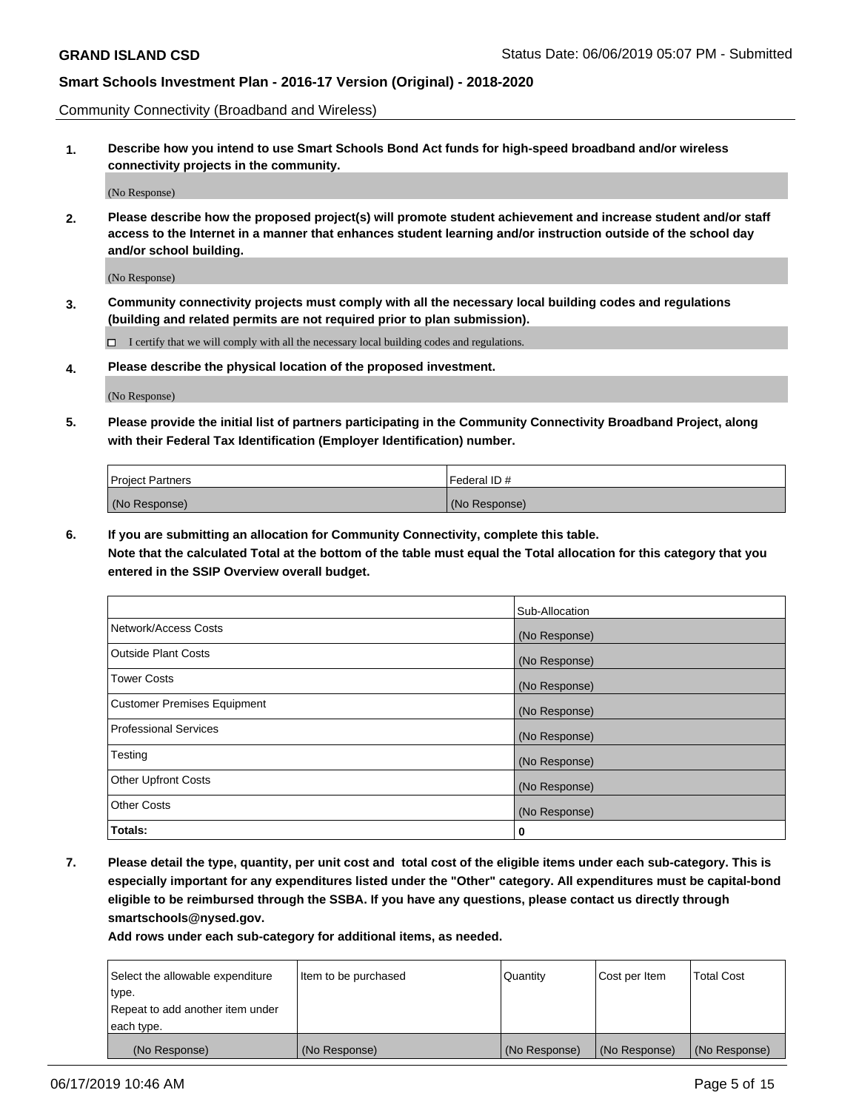Community Connectivity (Broadband and Wireless)

**1. Describe how you intend to use Smart Schools Bond Act funds for high-speed broadband and/or wireless connectivity projects in the community.**

(No Response)

**2. Please describe how the proposed project(s) will promote student achievement and increase student and/or staff access to the Internet in a manner that enhances student learning and/or instruction outside of the school day and/or school building.**

(No Response)

**3. Community connectivity projects must comply with all the necessary local building codes and regulations (building and related permits are not required prior to plan submission).**

 $\Box$  I certify that we will comply with all the necessary local building codes and regulations.

**4. Please describe the physical location of the proposed investment.**

(No Response)

**5. Please provide the initial list of partners participating in the Community Connectivity Broadband Project, along with their Federal Tax Identification (Employer Identification) number.**

| <b>Project Partners</b> | l Federal ID # |
|-------------------------|----------------|
| (No Response)           | (No Response)  |

**6. If you are submitting an allocation for Community Connectivity, complete this table.**

**Note that the calculated Total at the bottom of the table must equal the Total allocation for this category that you entered in the SSIP Overview overall budget.**

|                              | Sub-Allocation |
|------------------------------|----------------|
| Network/Access Costs         | (No Response)  |
| Outside Plant Costs          | (No Response)  |
| <b>Tower Costs</b>           | (No Response)  |
| Customer Premises Equipment  | (No Response)  |
| <b>Professional Services</b> | (No Response)  |
| Testing                      | (No Response)  |
| <b>Other Upfront Costs</b>   | (No Response)  |
| <b>Other Costs</b>           | (No Response)  |
| Totals:                      | 0              |

**7. Please detail the type, quantity, per unit cost and total cost of the eligible items under each sub-category. This is especially important for any expenditures listed under the "Other" category. All expenditures must be capital-bond eligible to be reimbursed through the SSBA. If you have any questions, please contact us directly through smartschools@nysed.gov.**

| Select the allowable expenditure | Item to be purchased | Quantity      | Cost per Item | <b>Total Cost</b> |
|----------------------------------|----------------------|---------------|---------------|-------------------|
| type.                            |                      |               |               |                   |
| Repeat to add another item under |                      |               |               |                   |
| each type.                       |                      |               |               |                   |
| (No Response)                    | (No Response)        | (No Response) | (No Response) | (No Response)     |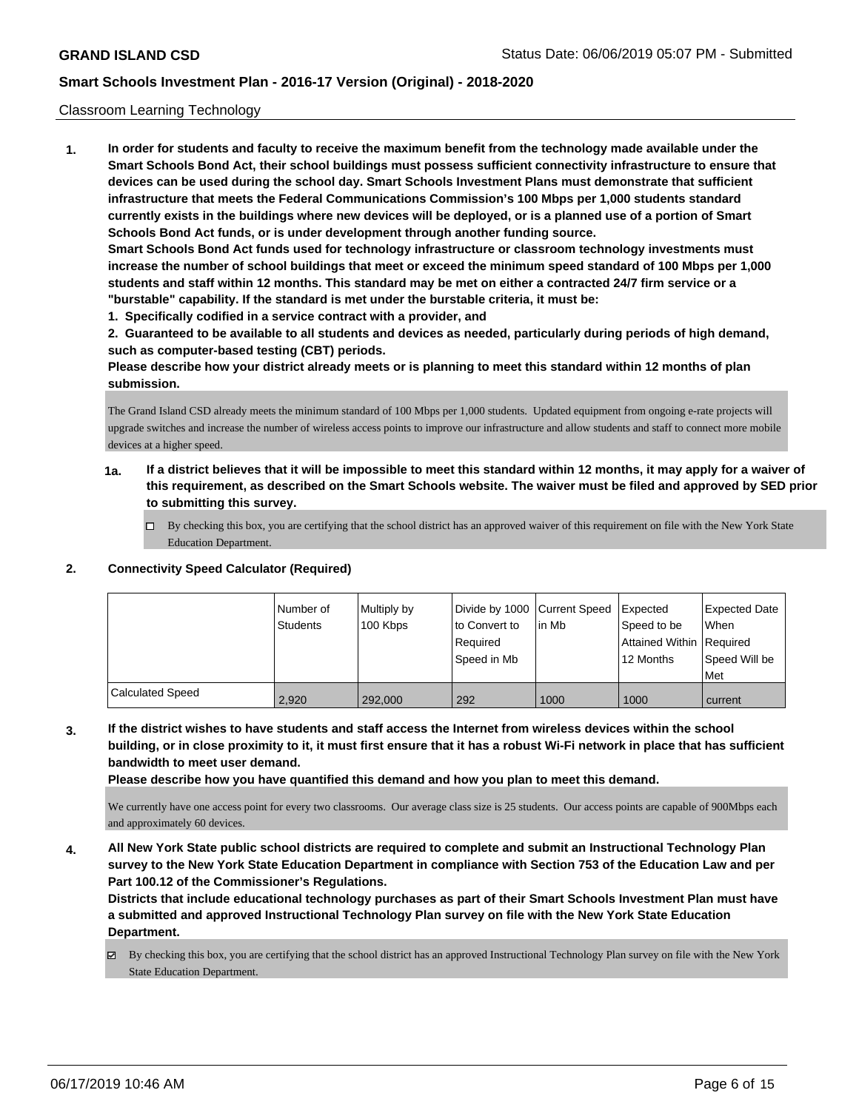### Classroom Learning Technology

**1. In order for students and faculty to receive the maximum benefit from the technology made available under the Smart Schools Bond Act, their school buildings must possess sufficient connectivity infrastructure to ensure that devices can be used during the school day. Smart Schools Investment Plans must demonstrate that sufficient infrastructure that meets the Federal Communications Commission's 100 Mbps per 1,000 students standard currently exists in the buildings where new devices will be deployed, or is a planned use of a portion of Smart Schools Bond Act funds, or is under development through another funding source. Smart Schools Bond Act funds used for technology infrastructure or classroom technology investments must increase the number of school buildings that meet or exceed the minimum speed standard of 100 Mbps per 1,000 students and staff within 12 months. This standard may be met on either a contracted 24/7 firm service or a "burstable" capability. If the standard is met under the burstable criteria, it must be:**

**1. Specifically codified in a service contract with a provider, and**

**2. Guaranteed to be available to all students and devices as needed, particularly during periods of high demand, such as computer-based testing (CBT) periods.**

**Please describe how your district already meets or is planning to meet this standard within 12 months of plan submission.**

The Grand Island CSD already meets the minimum standard of 100 Mbps per 1,000 students. Updated equipment from ongoing e-rate projects will upgrade switches and increase the number of wireless access points to improve our infrastructure and allow students and staff to connect more mobile devices at a higher speed.

- **1a. If a district believes that it will be impossible to meet this standard within 12 months, it may apply for a waiver of this requirement, as described on the Smart Schools website. The waiver must be filed and approved by SED prior to submitting this survey.**
	- By checking this box, you are certifying that the school district has an approved waiver of this requirement on file with the New York State Education Department.

#### **2. Connectivity Speed Calculator (Required)**

|                         | l Number of<br>Students | Multiply by<br>100 Kbps | Divide by 1000 Current Speed<br>to Convert to<br>Required<br>Speed in Mb | in Mb | <b>Expected</b><br>Speed to be<br>Attained Within Required<br>12 Months | <b>Expected Date</b><br><b>When</b><br>Speed Will be<br>Met |
|-------------------------|-------------------------|-------------------------|--------------------------------------------------------------------------|-------|-------------------------------------------------------------------------|-------------------------------------------------------------|
| <b>Calculated Speed</b> | 2.920                   | 292.000                 | 292                                                                      | 1000  | 1000                                                                    | current                                                     |

**3. If the district wishes to have students and staff access the Internet from wireless devices within the school building, or in close proximity to it, it must first ensure that it has a robust Wi-Fi network in place that has sufficient bandwidth to meet user demand.**

**Please describe how you have quantified this demand and how you plan to meet this demand.**

We currently have one access point for every two classrooms. Our average class size is 25 students. Our access points are capable of 900Mbps each and approximately 60 devices.

**4. All New York State public school districts are required to complete and submit an Instructional Technology Plan survey to the New York State Education Department in compliance with Section 753 of the Education Law and per Part 100.12 of the Commissioner's Regulations.**

**Districts that include educational technology purchases as part of their Smart Schools Investment Plan must have a submitted and approved Instructional Technology Plan survey on file with the New York State Education Department.**

By checking this box, you are certifying that the school district has an approved Instructional Technology Plan survey on file with the New York State Education Department.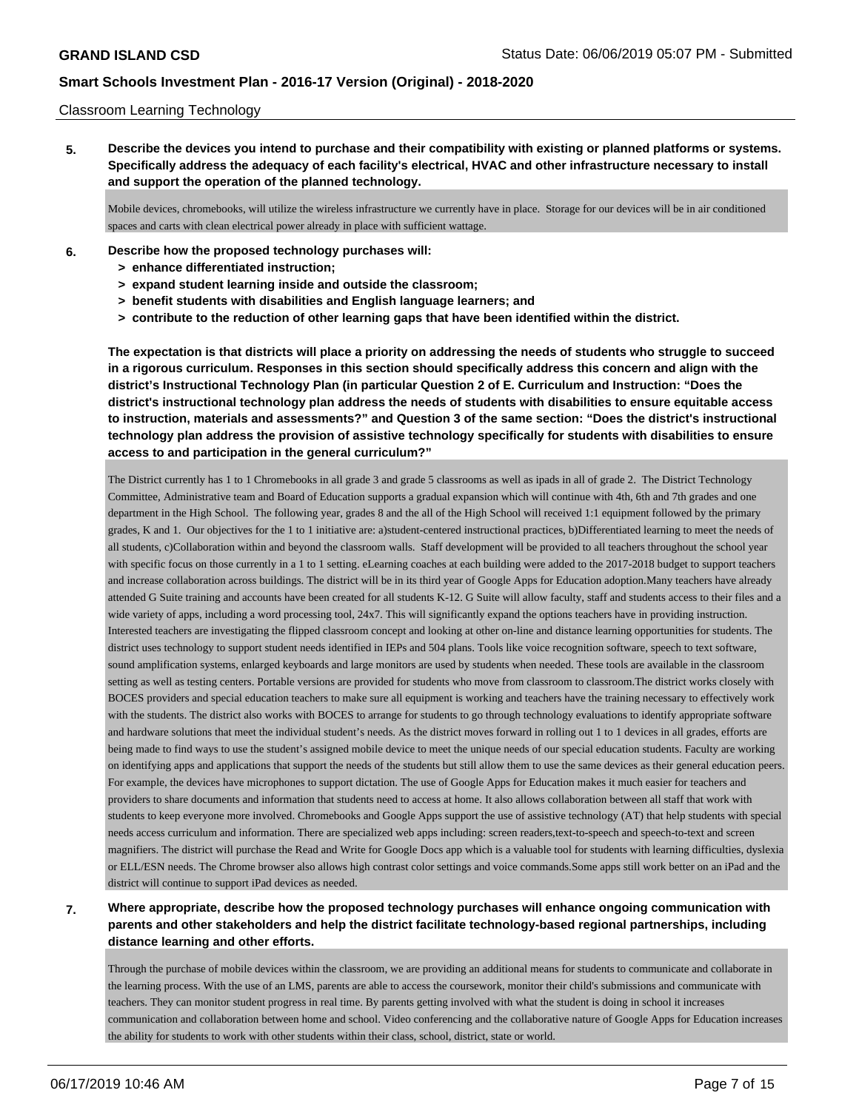#### Classroom Learning Technology

**5. Describe the devices you intend to purchase and their compatibility with existing or planned platforms or systems. Specifically address the adequacy of each facility's electrical, HVAC and other infrastructure necessary to install and support the operation of the planned technology.**

Mobile devices, chromebooks, will utilize the wireless infrastructure we currently have in place. Storage for our devices will be in air conditioned spaces and carts with clean electrical power already in place with sufficient wattage.

- **6. Describe how the proposed technology purchases will:**
	- **> enhance differentiated instruction;**
	- **> expand student learning inside and outside the classroom;**
	- **> benefit students with disabilities and English language learners; and**
	- **> contribute to the reduction of other learning gaps that have been identified within the district.**

**The expectation is that districts will place a priority on addressing the needs of students who struggle to succeed in a rigorous curriculum. Responses in this section should specifically address this concern and align with the district's Instructional Technology Plan (in particular Question 2 of E. Curriculum and Instruction: "Does the district's instructional technology plan address the needs of students with disabilities to ensure equitable access to instruction, materials and assessments?" and Question 3 of the same section: "Does the district's instructional technology plan address the provision of assistive technology specifically for students with disabilities to ensure access to and participation in the general curriculum?"**

The District currently has 1 to 1 Chromebooks in all grade 3 and grade 5 classrooms as well as ipads in all of grade 2. The District Technology Committee, Administrative team and Board of Education supports a gradual expansion which will continue with 4th, 6th and 7th grades and one department in the High School. The following year, grades 8 and the all of the High School will received 1:1 equipment followed by the primary grades, K and 1. Our objectives for the 1 to 1 initiative are: a)student-centered instructional practices, b)Differentiated learning to meet the needs of all students, c)Collaboration within and beyond the classroom walls. Staff development will be provided to all teachers throughout the school year with specific focus on those currently in a 1 to 1 setting. eLearning coaches at each building were added to the 2017-2018 budget to support teachers and increase collaboration across buildings. The district will be in its third year of Google Apps for Education adoption.Many teachers have already attended G Suite training and accounts have been created for all students K-12. G Suite will allow faculty, staff and students access to their files and a wide variety of apps, including a word processing tool, 24x7. This will significantly expand the options teachers have in providing instruction. Interested teachers are investigating the flipped classroom concept and looking at other on-line and distance learning opportunities for students. The district uses technology to support student needs identified in IEPs and 504 plans. Tools like voice recognition software, speech to text software, sound amplification systems, enlarged keyboards and large monitors are used by students when needed. These tools are available in the classroom setting as well as testing centers. Portable versions are provided for students who move from classroom to classroom.The district works closely with BOCES providers and special education teachers to make sure all equipment is working and teachers have the training necessary to effectively work with the students. The district also works with BOCES to arrange for students to go through technology evaluations to identify appropriate software and hardware solutions that meet the individual student's needs. As the district moves forward in rolling out 1 to 1 devices in all grades, efforts are being made to find ways to use the student's assigned mobile device to meet the unique needs of our special education students. Faculty are working on identifying apps and applications that support the needs of the students but still allow them to use the same devices as their general education peers. For example, the devices have microphones to support dictation. The use of Google Apps for Education makes it much easier for teachers and providers to share documents and information that students need to access at home. It also allows collaboration between all staff that work with students to keep everyone more involved. Chromebooks and Google Apps support the use of assistive technology (AT) that help students with special needs access curriculum and information. There are specialized web apps including: screen readers,text-to-speech and speech-to-text and screen magnifiers. The district will purchase the Read and Write for Google Docs app which is a valuable tool for students with learning difficulties, dyslexia or ELL/ESN needs. The Chrome browser also allows high contrast color settings and voice commands.Some apps still work better on an iPad and the district will continue to support iPad devices as needed.

## **7. Where appropriate, describe how the proposed technology purchases will enhance ongoing communication with parents and other stakeholders and help the district facilitate technology-based regional partnerships, including distance learning and other efforts.**

Through the purchase of mobile devices within the classroom, we are providing an additional means for students to communicate and collaborate in the learning process. With the use of an LMS, parents are able to access the coursework, monitor their child's submissions and communicate with teachers. They can monitor student progress in real time. By parents getting involved with what the student is doing in school it increases communication and collaboration between home and school. Video conferencing and the collaborative nature of Google Apps for Education increases the ability for students to work with other students within their class, school, district, state or world.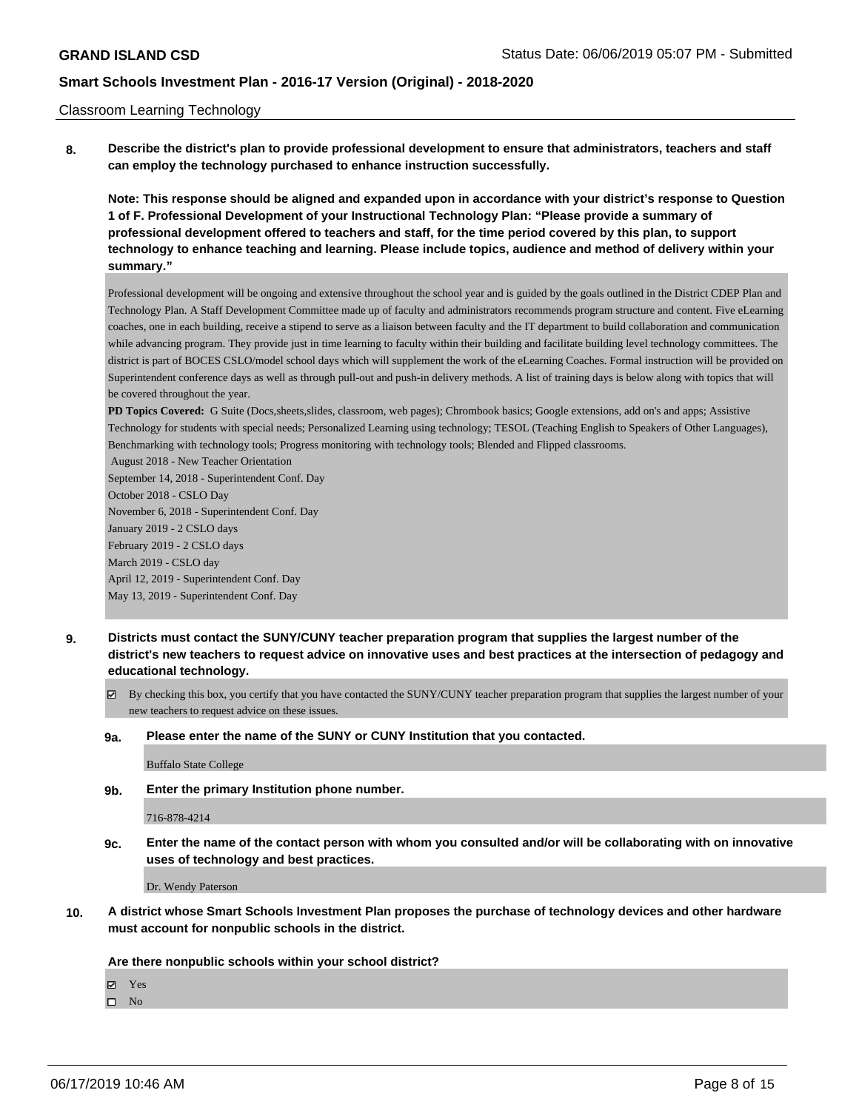### Classroom Learning Technology

**8. Describe the district's plan to provide professional development to ensure that administrators, teachers and staff can employ the technology purchased to enhance instruction successfully.**

**Note: This response should be aligned and expanded upon in accordance with your district's response to Question 1 of F. Professional Development of your Instructional Technology Plan: "Please provide a summary of professional development offered to teachers and staff, for the time period covered by this plan, to support technology to enhance teaching and learning. Please include topics, audience and method of delivery within your summary."**

Professional development will be ongoing and extensive throughout the school year and is guided by the goals outlined in the District CDEP Plan and Technology Plan. A Staff Development Committee made up of faculty and administrators recommends program structure and content. Five eLearning coaches, one in each building, receive a stipend to serve as a liaison between faculty and the IT department to build collaboration and communication while advancing program. They provide just in time learning to faculty within their building and facilitate building level technology committees. The district is part of BOCES CSLO/model school days which will supplement the work of the eLearning Coaches. Formal instruction will be provided on Superintendent conference days as well as through pull-out and push-in delivery methods. A list of training days is below along with topics that will be covered throughout the year.

**PD Topics Covered:** G Suite (Docs,sheets,slides, classroom, web pages); Chrombook basics; Google extensions, add on's and apps; Assistive Technology for students with special needs; Personalized Learning using technology; TESOL (Teaching English to Speakers of Other Languages), Benchmarking with technology tools; Progress monitoring with technology tools; Blended and Flipped classrooms.

 August 2018 - New Teacher Orientation September 14, 2018 - Superintendent Conf. Day October 2018 - CSLO Day November 6, 2018 - Superintendent Conf. Day January 2019 - 2 CSLO days February 2019 - 2 CSLO days March 2019 - CSLO day April 12, 2019 - Superintendent Conf. Day May 13, 2019 - Superintendent Conf. Day

- **9. Districts must contact the SUNY/CUNY teacher preparation program that supplies the largest number of the district's new teachers to request advice on innovative uses and best practices at the intersection of pedagogy and educational technology.**
	- By checking this box, you certify that you have contacted the SUNY/CUNY teacher preparation program that supplies the largest number of your new teachers to request advice on these issues.

#### **9a. Please enter the name of the SUNY or CUNY Institution that you contacted.**

Buffalo State College

**9b. Enter the primary Institution phone number.**

#### 716-878-4214

**9c. Enter the name of the contact person with whom you consulted and/or will be collaborating with on innovative uses of technology and best practices.**

Dr. Wendy Paterson

**10. A district whose Smart Schools Investment Plan proposes the purchase of technology devices and other hardware must account for nonpublic schools in the district.**

#### **Are there nonpublic schools within your school district?**

Yes

 $\hfill \square$  No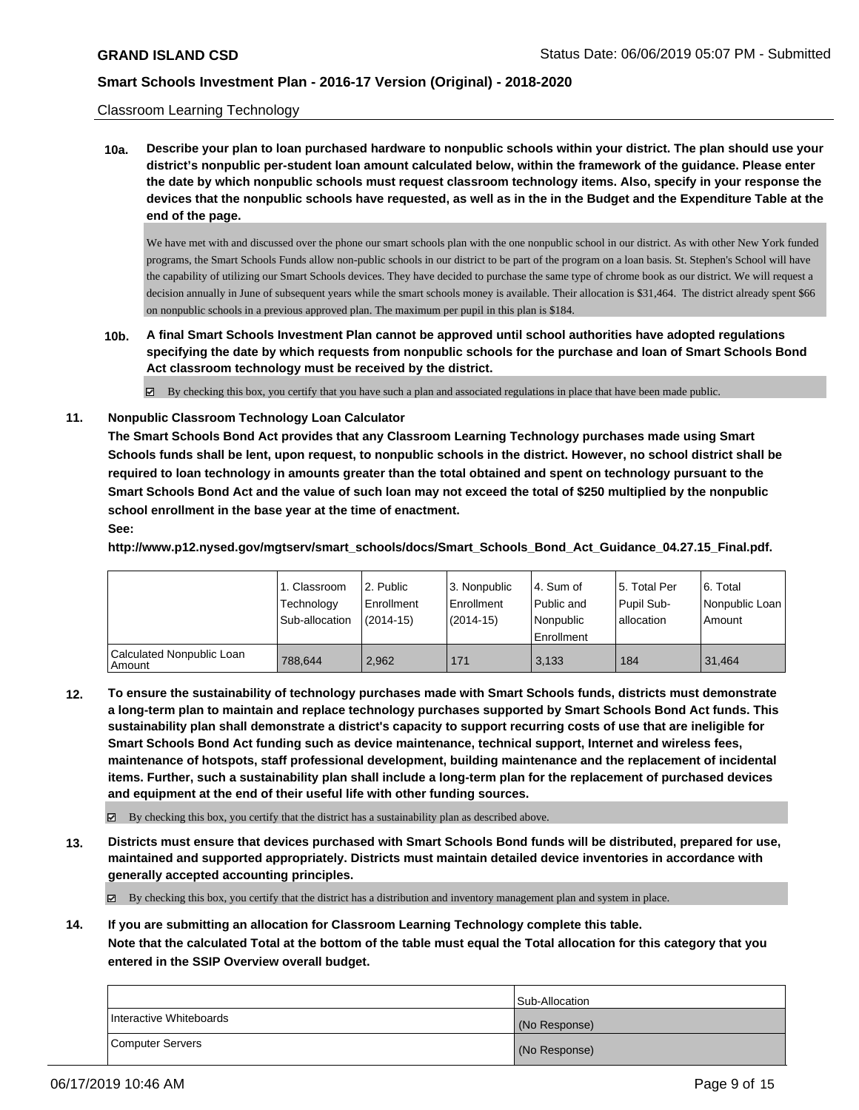#### Classroom Learning Technology

**10a. Describe your plan to loan purchased hardware to nonpublic schools within your district. The plan should use your district's nonpublic per-student loan amount calculated below, within the framework of the guidance. Please enter the date by which nonpublic schools must request classroom technology items. Also, specify in your response the devices that the nonpublic schools have requested, as well as in the in the Budget and the Expenditure Table at the end of the page.**

We have met with and discussed over the phone our smart schools plan with the one nonpublic school in our district. As with other New York funded programs, the Smart Schools Funds allow non-public schools in our district to be part of the program on a loan basis. St. Stephen's School will have the capability of utilizing our Smart Schools devices. They have decided to purchase the same type of chrome book as our district. We will request a decision annually in June of subsequent years while the smart schools money is available. Their allocation is \$31,464. The district already spent \$66 on nonpublic schools in a previous approved plan. The maximum per pupil in this plan is \$184.

**10b. A final Smart Schools Investment Plan cannot be approved until school authorities have adopted regulations specifying the date by which requests from nonpublic schools for the purchase and loan of Smart Schools Bond Act classroom technology must be received by the district.**

By checking this box, you certify that you have such a plan and associated regulations in place that have been made public.

**11. Nonpublic Classroom Technology Loan Calculator**

**The Smart Schools Bond Act provides that any Classroom Learning Technology purchases made using Smart Schools funds shall be lent, upon request, to nonpublic schools in the district. However, no school district shall be required to loan technology in amounts greater than the total obtained and spent on technology pursuant to the Smart Schools Bond Act and the value of such loan may not exceed the total of \$250 multiplied by the nonpublic school enrollment in the base year at the time of enactment.**

### **See:**

**http://www.p12.nysed.gov/mgtserv/smart\_schools/docs/Smart\_Schools\_Bond\_Act\_Guidance\_04.27.15\_Final.pdf.**

|                                       | 1. Classroom<br>Technology<br>Sub-allocation | l 2. Public<br>l Enrollment<br>$(2014 - 15)$ | l 3. Nonpublic<br>Enrollment<br>$(2014-15)$ | 4. Sum of<br>Public and<br>l Nonpublic<br>Enrollment | 15. Total Per<br>Pupil Sub-<br>allocation | l 6. Total<br>Nonpublic Loan<br>Amount |
|---------------------------------------|----------------------------------------------|----------------------------------------------|---------------------------------------------|------------------------------------------------------|-------------------------------------------|----------------------------------------|
| Calculated Nonpublic Loan<br>l Amount | 788.644                                      | 2.962                                        | 171                                         | 3.133                                                | 184                                       | 31.464                                 |

**12. To ensure the sustainability of technology purchases made with Smart Schools funds, districts must demonstrate a long-term plan to maintain and replace technology purchases supported by Smart Schools Bond Act funds. This sustainability plan shall demonstrate a district's capacity to support recurring costs of use that are ineligible for Smart Schools Bond Act funding such as device maintenance, technical support, Internet and wireless fees, maintenance of hotspots, staff professional development, building maintenance and the replacement of incidental items. Further, such a sustainability plan shall include a long-term plan for the replacement of purchased devices and equipment at the end of their useful life with other funding sources.**

By checking this box, you certify that the district has a sustainability plan as described above.

**13. Districts must ensure that devices purchased with Smart Schools Bond funds will be distributed, prepared for use, maintained and supported appropriately. Districts must maintain detailed device inventories in accordance with generally accepted accounting principles.**

By checking this box, you certify that the district has a distribution and inventory management plan and system in place.

**14. If you are submitting an allocation for Classroom Learning Technology complete this table.**

**Note that the calculated Total at the bottom of the table must equal the Total allocation for this category that you entered in the SSIP Overview overall budget.**

|                         | <b>Sub-Allocation</b> |
|-------------------------|-----------------------|
| Interactive Whiteboards | (No Response)         |
| Computer Servers        | (No Response)         |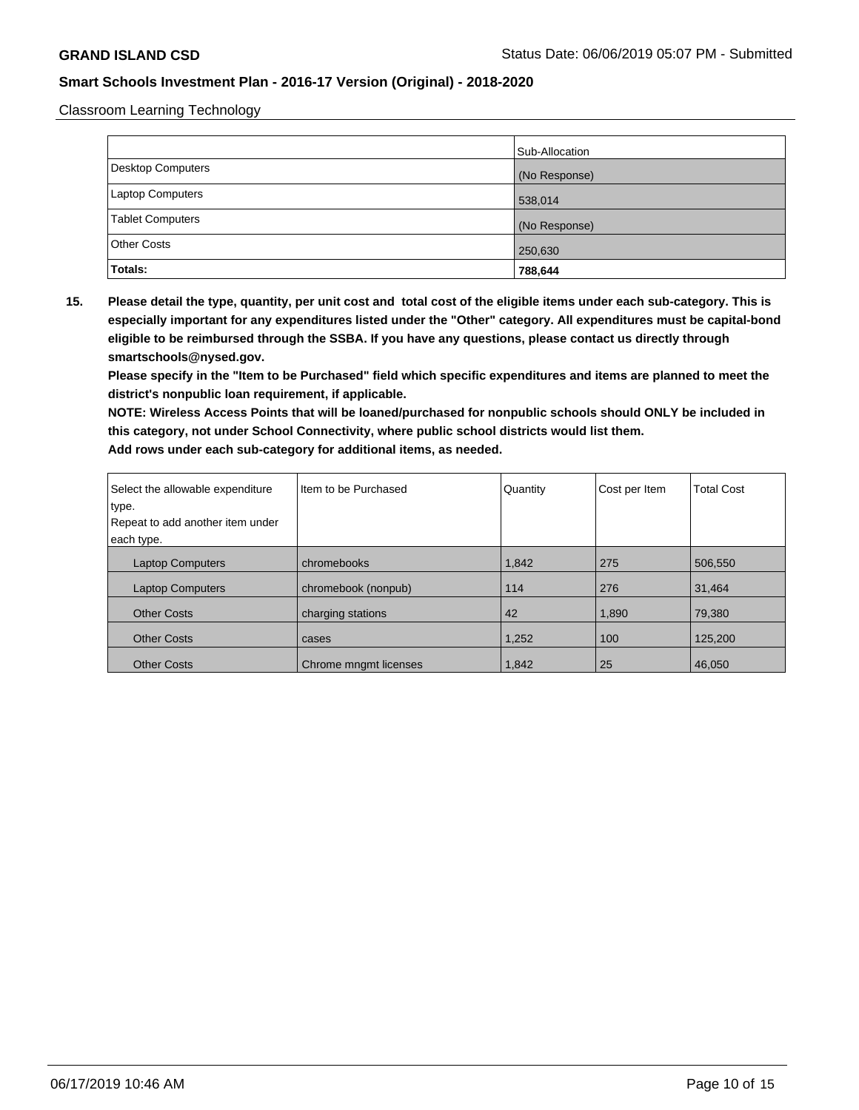Classroom Learning Technology

|                         | Sub-Allocation |
|-------------------------|----------------|
| Desktop Computers       | (No Response)  |
| Laptop Computers        | 538,014        |
| <b>Tablet Computers</b> | (No Response)  |
| <b>Other Costs</b>      | 250,630        |
| Totals:                 | 788,644        |

**15. Please detail the type, quantity, per unit cost and total cost of the eligible items under each sub-category. This is especially important for any expenditures listed under the "Other" category. All expenditures must be capital-bond eligible to be reimbursed through the SSBA. If you have any questions, please contact us directly through smartschools@nysed.gov.**

**Please specify in the "Item to be Purchased" field which specific expenditures and items are planned to meet the district's nonpublic loan requirement, if applicable.**

**NOTE: Wireless Access Points that will be loaned/purchased for nonpublic schools should ONLY be included in this category, not under School Connectivity, where public school districts would list them.**

| Select the allowable expenditure<br>type.<br>Repeat to add another item under | Iltem to be Purchased | Quantity | Cost per Item | <b>Total Cost</b> |
|-------------------------------------------------------------------------------|-----------------------|----------|---------------|-------------------|
| each type.                                                                    |                       |          |               |                   |
| <b>Laptop Computers</b>                                                       | chromebooks           | 1,842    | 275           | 506,550           |
| <b>Laptop Computers</b>                                                       | chromebook (nonpub)   | 114      | 276           | 31,464            |
| <b>Other Costs</b>                                                            | charging stations     | 42       | 1,890         | 79,380            |
| <b>Other Costs</b>                                                            | cases                 | 1,252    | 100           | 125,200           |
| <b>Other Costs</b>                                                            | Chrome mngmt licenses | 1,842    | 25            | 46,050            |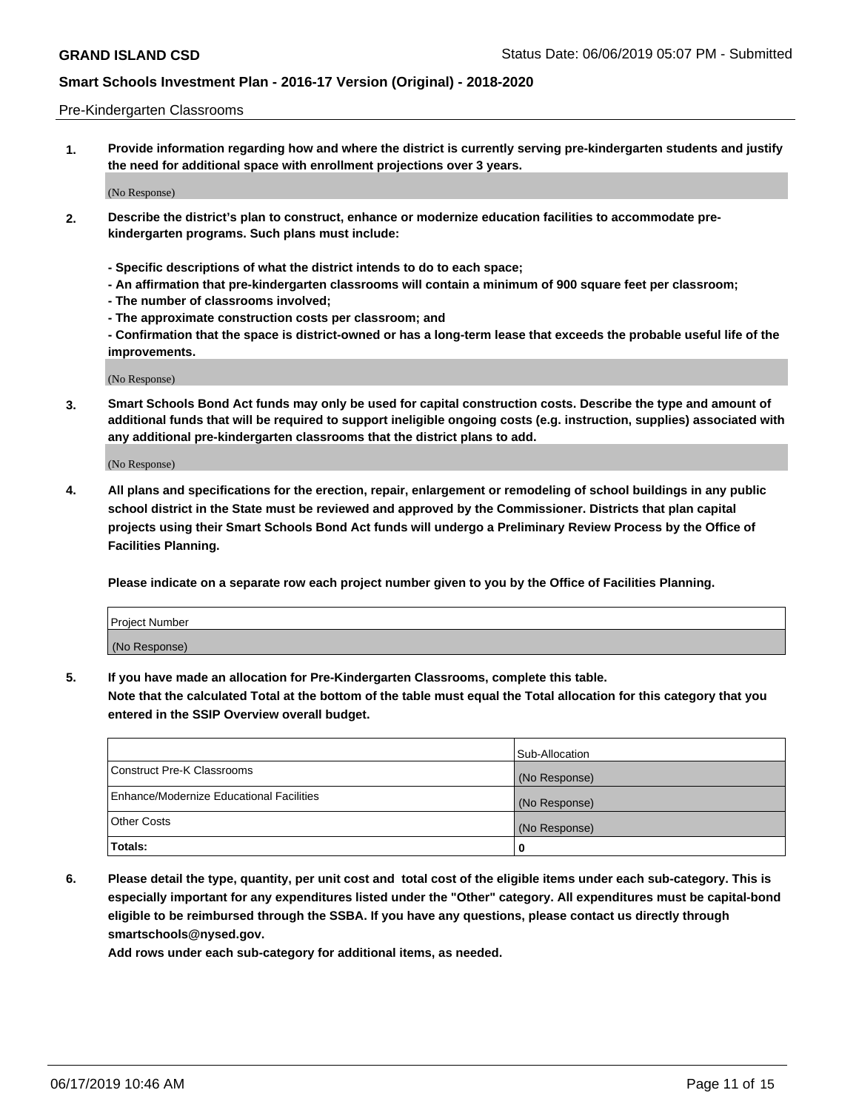#### Pre-Kindergarten Classrooms

**1. Provide information regarding how and where the district is currently serving pre-kindergarten students and justify the need for additional space with enrollment projections over 3 years.**

(No Response)

- **2. Describe the district's plan to construct, enhance or modernize education facilities to accommodate prekindergarten programs. Such plans must include:**
	- **Specific descriptions of what the district intends to do to each space;**
	- **An affirmation that pre-kindergarten classrooms will contain a minimum of 900 square feet per classroom;**
	- **The number of classrooms involved;**
	- **The approximate construction costs per classroom; and**
	- **Confirmation that the space is district-owned or has a long-term lease that exceeds the probable useful life of the improvements.**

(No Response)

**3. Smart Schools Bond Act funds may only be used for capital construction costs. Describe the type and amount of additional funds that will be required to support ineligible ongoing costs (e.g. instruction, supplies) associated with any additional pre-kindergarten classrooms that the district plans to add.**

(No Response)

**4. All plans and specifications for the erection, repair, enlargement or remodeling of school buildings in any public school district in the State must be reviewed and approved by the Commissioner. Districts that plan capital projects using their Smart Schools Bond Act funds will undergo a Preliminary Review Process by the Office of Facilities Planning.**

**Please indicate on a separate row each project number given to you by the Office of Facilities Planning.**

| Project Number |  |
|----------------|--|
| (No Response)  |  |
|                |  |

**5. If you have made an allocation for Pre-Kindergarten Classrooms, complete this table.**

**Note that the calculated Total at the bottom of the table must equal the Total allocation for this category that you entered in the SSIP Overview overall budget.**

|                                          | Sub-Allocation |
|------------------------------------------|----------------|
| Construct Pre-K Classrooms               | (No Response)  |
| Enhance/Modernize Educational Facilities | (No Response)  |
| <b>Other Costs</b>                       | (No Response)  |
| Totals:                                  | 0              |

**6. Please detail the type, quantity, per unit cost and total cost of the eligible items under each sub-category. This is especially important for any expenditures listed under the "Other" category. All expenditures must be capital-bond eligible to be reimbursed through the SSBA. If you have any questions, please contact us directly through smartschools@nysed.gov.**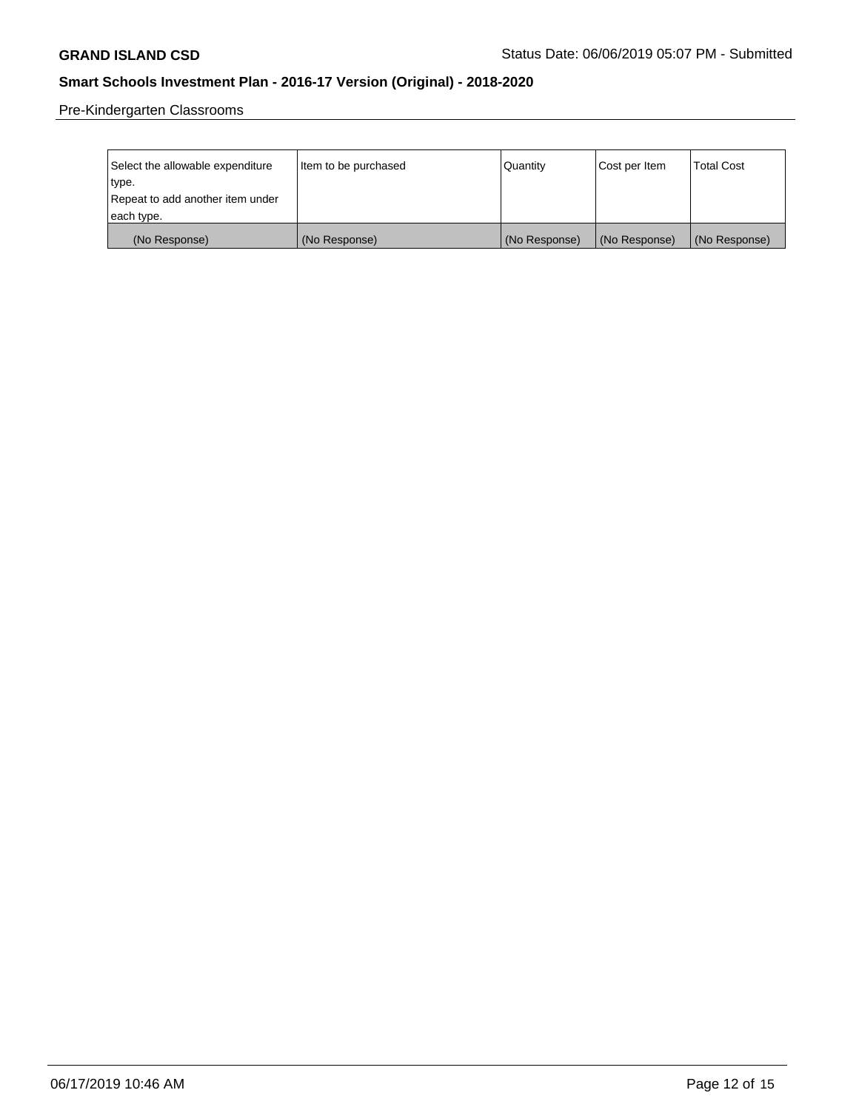Pre-Kindergarten Classrooms

| Select the allowable expenditure | Item to be purchased | Quantity      | Cost per Item | <b>Total Cost</b> |
|----------------------------------|----------------------|---------------|---------------|-------------------|
| type.                            |                      |               |               |                   |
| Repeat to add another item under |                      |               |               |                   |
| each type.                       |                      |               |               |                   |
| (No Response)                    | (No Response)        | (No Response) | (No Response) | (No Response)     |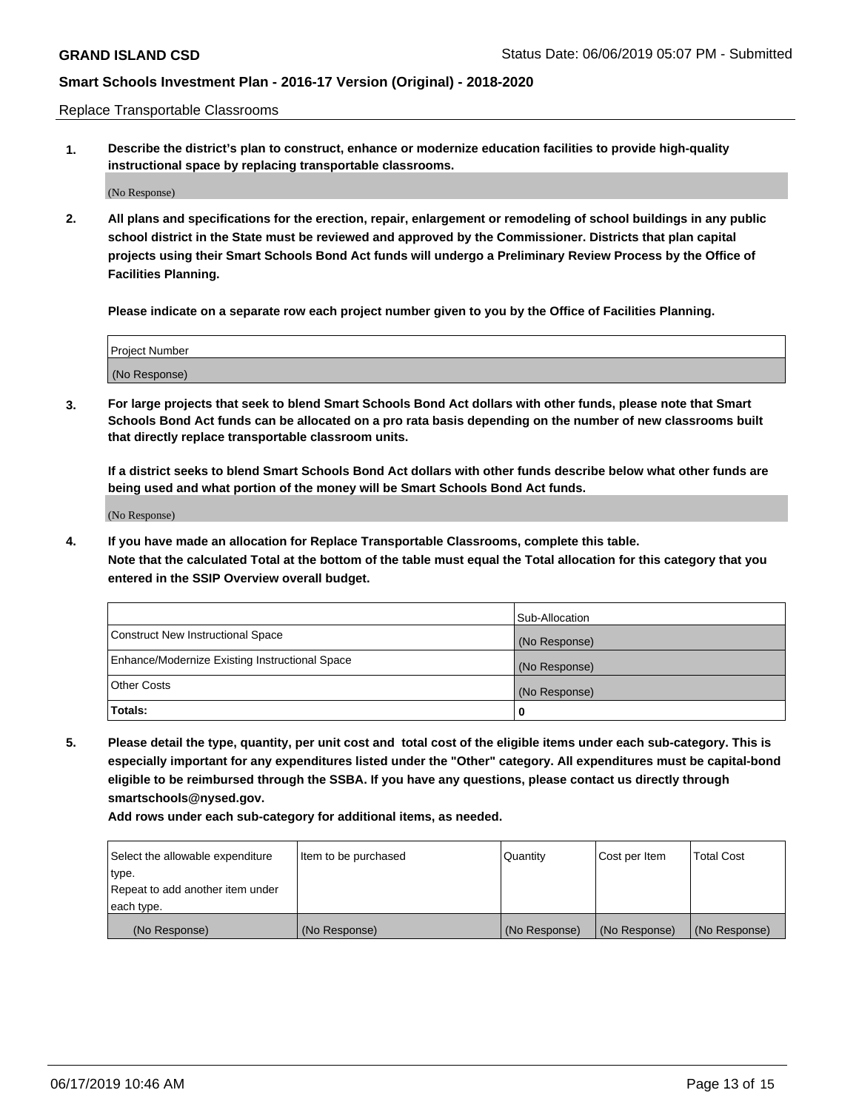Replace Transportable Classrooms

**1. Describe the district's plan to construct, enhance or modernize education facilities to provide high-quality instructional space by replacing transportable classrooms.**

(No Response)

**2. All plans and specifications for the erection, repair, enlargement or remodeling of school buildings in any public school district in the State must be reviewed and approved by the Commissioner. Districts that plan capital projects using their Smart Schools Bond Act funds will undergo a Preliminary Review Process by the Office of Facilities Planning.**

**Please indicate on a separate row each project number given to you by the Office of Facilities Planning.**

| Project Number |  |
|----------------|--|
|                |  |
| (No Response)  |  |

**3. For large projects that seek to blend Smart Schools Bond Act dollars with other funds, please note that Smart Schools Bond Act funds can be allocated on a pro rata basis depending on the number of new classrooms built that directly replace transportable classroom units.**

**If a district seeks to blend Smart Schools Bond Act dollars with other funds describe below what other funds are being used and what portion of the money will be Smart Schools Bond Act funds.**

(No Response)

**4. If you have made an allocation for Replace Transportable Classrooms, complete this table. Note that the calculated Total at the bottom of the table must equal the Total allocation for this category that you entered in the SSIP Overview overall budget.**

|                                                | Sub-Allocation |
|------------------------------------------------|----------------|
| Construct New Instructional Space              | (No Response)  |
| Enhance/Modernize Existing Instructional Space | (No Response)  |
| <b>Other Costs</b>                             | (No Response)  |
| Totals:                                        | 0              |

**5. Please detail the type, quantity, per unit cost and total cost of the eligible items under each sub-category. This is especially important for any expenditures listed under the "Other" category. All expenditures must be capital-bond eligible to be reimbursed through the SSBA. If you have any questions, please contact us directly through smartschools@nysed.gov.**

| Select the allowable expenditure | Item to be purchased | l Quantitv    | Cost per Item | <b>Total Cost</b> |
|----------------------------------|----------------------|---------------|---------------|-------------------|
| type.                            |                      |               |               |                   |
| Repeat to add another item under |                      |               |               |                   |
| each type.                       |                      |               |               |                   |
| (No Response)                    | (No Response)        | (No Response) | (No Response) | (No Response)     |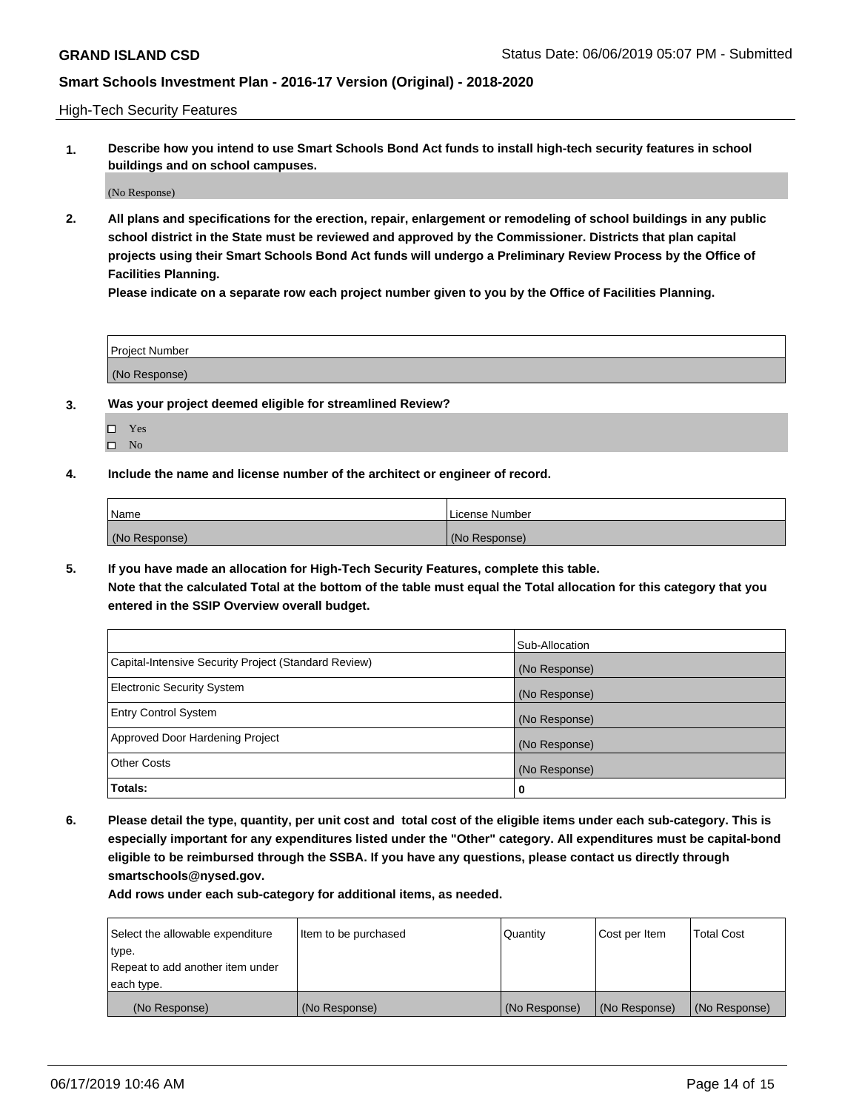High-Tech Security Features

**1. Describe how you intend to use Smart Schools Bond Act funds to install high-tech security features in school buildings and on school campuses.**

(No Response)

**2. All plans and specifications for the erection, repair, enlargement or remodeling of school buildings in any public school district in the State must be reviewed and approved by the Commissioner. Districts that plan capital projects using their Smart Schools Bond Act funds will undergo a Preliminary Review Process by the Office of Facilities Planning.** 

**Please indicate on a separate row each project number given to you by the Office of Facilities Planning.**

| <b>Project Number</b> |  |
|-----------------------|--|
| (No Response)         |  |

- **3. Was your project deemed eligible for streamlined Review?**
	- Yes
	- $\square$  No
- **4. Include the name and license number of the architect or engineer of record.**

| <b>Name</b>   | License Number |
|---------------|----------------|
| (No Response) | (No Response)  |

**5. If you have made an allocation for High-Tech Security Features, complete this table.**

**Note that the calculated Total at the bottom of the table must equal the Total allocation for this category that you entered in the SSIP Overview overall budget.**

|                                                      | Sub-Allocation |
|------------------------------------------------------|----------------|
| Capital-Intensive Security Project (Standard Review) | (No Response)  |
| <b>Electronic Security System</b>                    | (No Response)  |
| <b>Entry Control System</b>                          | (No Response)  |
| Approved Door Hardening Project                      | (No Response)  |
| <b>Other Costs</b>                                   | (No Response)  |
| Totals:                                              | 0              |

**6. Please detail the type, quantity, per unit cost and total cost of the eligible items under each sub-category. This is especially important for any expenditures listed under the "Other" category. All expenditures must be capital-bond eligible to be reimbursed through the SSBA. If you have any questions, please contact us directly through smartschools@nysed.gov.**

| Select the allowable expenditure | Item to be purchased | <b>Quantity</b> | Cost per Item | Total Cost    |
|----------------------------------|----------------------|-----------------|---------------|---------------|
| type.                            |                      |                 |               |               |
| Repeat to add another item under |                      |                 |               |               |
| each type.                       |                      |                 |               |               |
| (No Response)                    | (No Response)        | (No Response)   | (No Response) | (No Response) |